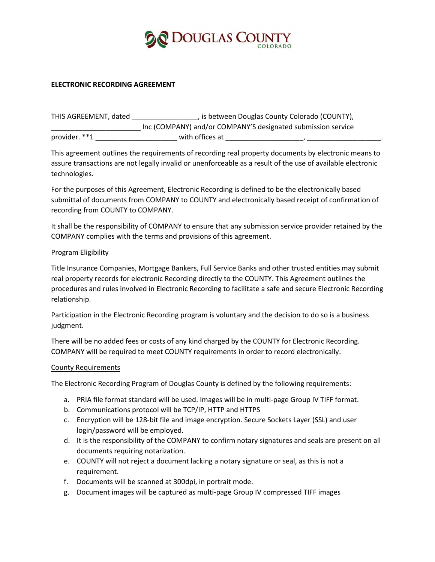

#### **ELECTRONIC RECORDING AGREEMENT**

| THIS AGREEMENT, dated | , is between Douglas County Colorado (COUNTY),               |  |
|-----------------------|--------------------------------------------------------------|--|
|                       | Inc (COMPANY) and/or COMPANY'S designated submission service |  |
| provider. **1         | with offices at                                              |  |

This agreement outlines the requirements of recording real property documents by electronic means to assure transactions are not legally invalid or unenforceable as a result of the use of available electronic technologies.

For the purposes of this Agreement, Electronic Recording is defined to be the electronically based submittal of documents from COMPANY to COUNTY and electronically based receipt of confirmation of recording from COUNTY to COMPANY.

It shall be the responsibility of COMPANY to ensure that any submission service provider retained by the COMPANY complies with the terms and provisions of this agreement.

#### Program Eligibility

Title Insurance Companies, Mortgage Bankers, Full Service Banks and other trusted entities may submit real property records for electronic Recording directly to the COUNTY. This Agreement outlines the procedures and rules involved in Electronic Recording to facilitate a safe and secure Electronic Recording relationship.

Participation in the Electronic Recording program is voluntary and the decision to do so is a business judgment.

There will be no added fees or costs of any kind charged by the COUNTY for Electronic Recording. COMPANY will be required to meet COUNTY requirements in order to record electronically.

#### County Requirements

The Electronic Recording Program of Douglas County is defined by the following requirements:

- a. PRIA file format standard will be used. Images will be in multi-page Group IV TIFF format.
- b. Communications protocol will be TCP/IP, HTTP and HTTPS
- c. Encryption will be 128-bit file and image encryption. Secure Sockets Layer (SSL) and user login/password will be employed.
- d. It is the responsibility of the COMPANY to confirm notary signatures and seals are present on all documents requiring notarization.
- e. COUNTY will not reject a document lacking a notary signature or seal, as this is not a requirement.
- f. Documents will be scanned at 300dpi, in portrait mode.
- g. Document images will be captured as multi-page Group IV compressed TIFF images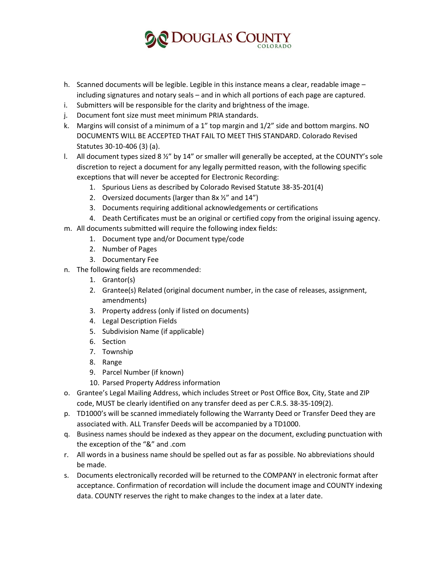

- h. Scanned documents will be legible. Legible in this instance means a clear, readable image including signatures and notary seals – and in which all portions of each page are captured.
- i. Submitters will be responsible for the clarity and brightness of the image.
- j. Document font size must meet minimum PRIA standards.
- k. Margins will consist of a minimum of a 1" top margin and 1/2" side and bottom margins. NO DOCUMENTS WILL BE ACCEPTED THAT FAIL TO MEET THIS STANDARD. Colorado Revised Statutes 30-10-406 (3) (a).
- l. All document types sized 8 ½" by 14" or smaller will generally be accepted, at the COUNTY's sole discretion to reject a document for any legally permitted reason, with the following specific exceptions that will never be accepted for Electronic Recording:
	- 1. Spurious Liens as described by Colorado Revised Statute 38-35-201(4)
	- 2. Oversized documents (larger than  $8x \frac{1}{2}$ " and  $14$ ")
	- 3. Documents requiring additional acknowledgements or certifications
	- 4. Death Certificates must be an original or certified copy from the original issuing agency.
- m. All documents submitted will require the following index fields:
	- 1. Document type and/or Document type/code
	- 2. Number of Pages
	- 3. Documentary Fee
- n. The following fields are recommended:
	- 1. Grantor(s)
	- 2. Grantee(s) Related (original document number, in the case of releases, assignment, amendments)
	- 3. Property address (only if listed on documents)
	- 4. Legal Description Fields
	- 5. Subdivision Name (if applicable)
	- 6. Section
	- 7. Township
	- 8. Range
	- 9. Parcel Number (if known)
	- 10. Parsed Property Address information
- o. Grantee's Legal Mailing Address, which includes Street or Post Office Box, City, State and ZIP code, MUST be clearly identified on any transfer deed as per C.R.S. 38-35-109(2).
- p. TD1000's will be scanned immediately following the Warranty Deed or Transfer Deed they are associated with. ALL Transfer Deeds will be accompanied by a TD1000.
- q. Business names should be indexed as they appear on the document, excluding punctuation with the exception of the "&" and .com
- r. All words in a business name should be spelled out as far as possible. No abbreviations should be made.
- s. Documents electronically recorded will be returned to the COMPANY in electronic format after acceptance. Confirmation of recordation will include the document image and COUNTY indexing data. COUNTY reserves the right to make changes to the index at a later date.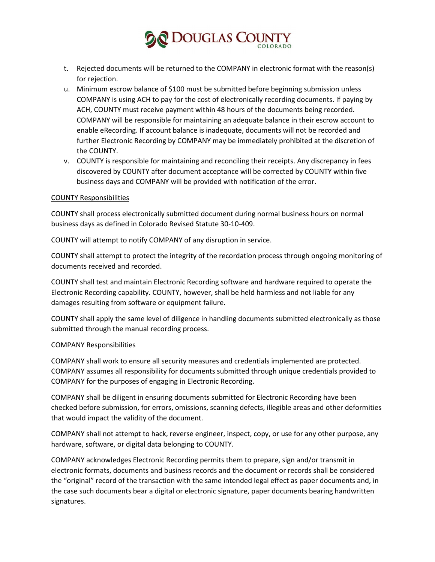## **ODOUGLAS COUNTY**

- t. Rejected documents will be returned to the COMPANY in electronic format with the reason(s) for rejection.
- u. Minimum escrow balance of \$100 must be submitted before beginning submission unless COMPANY is using ACH to pay for the cost of electronically recording documents. If paying by ACH, COUNTY must receive payment within 48 hours of the documents being recorded. COMPANY will be responsible for maintaining an adequate balance in their escrow account to enable eRecording. If account balance is inadequate, documents will not be recorded and further Electronic Recording by COMPANY may be immediately prohibited at the discretion of the COUNTY.
- v. COUNTY is responsible for maintaining and reconciling their receipts. Any discrepancy in fees discovered by COUNTY after document acceptance will be corrected by COUNTY within five business days and COMPANY will be provided with notification of the error.

#### COUNTY Responsibilities

COUNTY shall process electronically submitted document during normal business hours on normal business days as defined in Colorado Revised Statute 30-10-409.

COUNTY will attempt to notify COMPANY of any disruption in service.

COUNTY shall attempt to protect the integrity of the recordation process through ongoing monitoring of documents received and recorded.

COUNTY shall test and maintain Electronic Recording software and hardware required to operate the Electronic Recording capability. COUNTY, however, shall be held harmless and not liable for any damages resulting from software or equipment failure.

COUNTY shall apply the same level of diligence in handling documents submitted electronically as those submitted through the manual recording process.

#### COMPANY Responsibilities

COMPANY shall work to ensure all security measures and credentials implemented are protected. COMPANY assumes all responsibility for documents submitted through unique credentials provided to COMPANY for the purposes of engaging in Electronic Recording.

COMPANY shall be diligent in ensuring documents submitted for Electronic Recording have been checked before submission, for errors, omissions, scanning defects, illegible areas and other deformities that would impact the validity of the document.

COMPANY shall not attempt to hack, reverse engineer, inspect, copy, or use for any other purpose, any hardware, software, or digital data belonging to COUNTY.

COMPANY acknowledges Electronic Recording permits them to prepare, sign and/or transmit in electronic formats, documents and business records and the document or records shall be considered the "original" record of the transaction with the same intended legal effect as paper documents and, in the case such documents bear a digital or electronic signature, paper documents bearing handwritten signatures.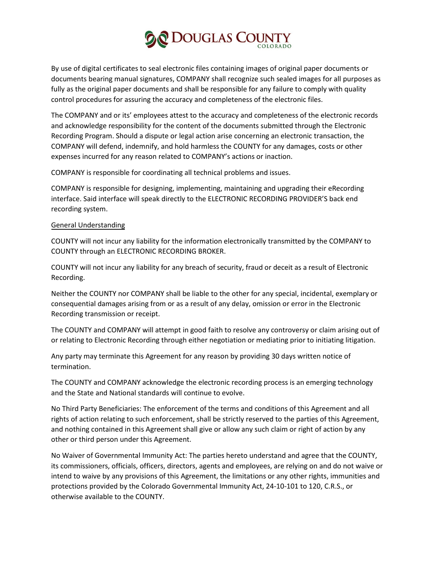# C DOUGLAS COUN

By use of digital certificates to seal electronic files containing images of original paper documents or documents bearing manual signatures, COMPANY shall recognize such sealed images for all purposes as fully as the original paper documents and shall be responsible for any failure to comply with quality control procedures for assuring the accuracy and completeness of the electronic files.

The COMPANY and or its' employees attest to the accuracy and completeness of the electronic records and acknowledge responsibility for the content of the documents submitted through the Electronic Recording Program. Should a dispute or legal action arise concerning an electronic transaction, the COMPANY will defend, indemnify, and hold harmless the COUNTY for any damages, costs or other expenses incurred for any reason related to COMPANY's actions or inaction.

COMPANY is responsible for coordinating all technical problems and issues.

COMPANY is responsible for designing, implementing, maintaining and upgrading their eRecording interface. Said interface will speak directly to the ELECTRONIC RECORDING PROVIDER'S back end recording system.

### General Understanding

COUNTY will not incur any liability for the information electronically transmitted by the COMPANY to COUNTY through an ELECTRONIC RECORDING BROKER.

COUNTY will not incur any liability for any breach of security, fraud or deceit as a result of Electronic Recording.

Neither the COUNTY nor COMPANY shall be liable to the other for any special, incidental, exemplary or consequential damages arising from or as a result of any delay, omission or error in the Electronic Recording transmission or receipt.

The COUNTY and COMPANY will attempt in good faith to resolve any controversy or claim arising out of or relating to Electronic Recording through either negotiation or mediating prior to initiating litigation.

Any party may terminate this Agreement for any reason by providing 30 days written notice of termination.

The COUNTY and COMPANY acknowledge the electronic recording process is an emerging technology and the State and National standards will continue to evolve.

No Third Party Beneficiaries: The enforcement of the terms and conditions of this Agreement and all rights of action relating to such enforcement, shall be strictly reserved to the parties of this Agreement, and nothing contained in this Agreement shall give or allow any such claim or right of action by any other or third person under this Agreement.

No Waiver of Governmental Immunity Act: The parties hereto understand and agree that the COUNTY, its commissioners, officials, officers, directors, agents and employees, are relying on and do not waive or intend to waive by any provisions of this Agreement, the limitations or any other rights, immunities and protections provided by the Colorado Governmental Immunity Act, 24-10-101 to 120, C.R.S., or otherwise available to the COUNTY.